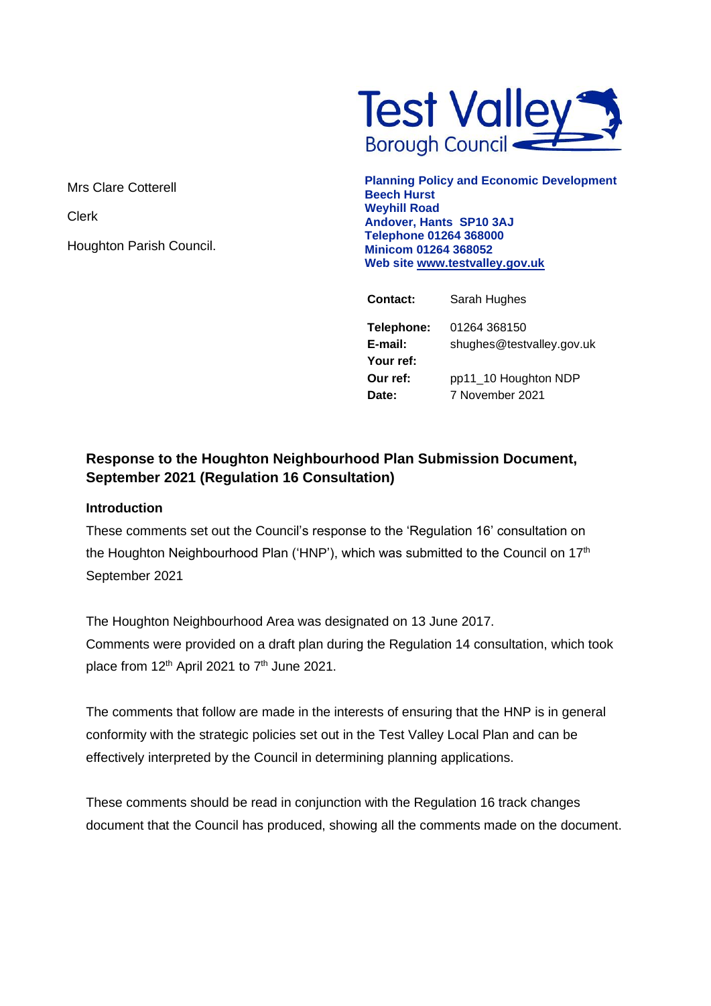

Mrs Clare Cotterell

Clerk

Houghton Parish Council.

**Planning Policy and Economic Development Beech Hurst Weyhill Road Andover, Hants SP10 3AJ Telephone 01264 368000 Minicom 01264 368052 Web site [www.testvalley.gov.uk](http://www.testvalley.gov.uk/)**

| <b>Contact:</b> | Sarah Hughes              |
|-----------------|---------------------------|
| Telephone:      | 01264 368150              |
| E-mail:         | shughes@testvalley.gov.uk |
| Your ref:       |                           |
| Our ref:        | pp11_10 Houghton NDP      |
| Date:           | 7 November 2021           |
|                 |                           |

# **Response to the Houghton Neighbourhood Plan Submission Document, September 2021 (Regulation 16 Consultation)**

#### **Introduction**

These comments set out the Council's response to the 'Regulation 16' consultation on the Houghton Neighbourhood Plan ('HNP'), which was submitted to the Council on 17<sup>th</sup> September 2021

The Houghton Neighbourhood Area was designated on 13 June 2017. Comments were provided on a draft plan during the Regulation 14 consultation, which took place from  $12<sup>th</sup>$  April 2021 to  $7<sup>th</sup>$  June 2021.

The comments that follow are made in the interests of ensuring that the HNP is in general conformity with the strategic policies set out in the Test Valley Local Plan and can be effectively interpreted by the Council in determining planning applications.

These comments should be read in conjunction with the Regulation 16 track changes document that the Council has produced, showing all the comments made on the document.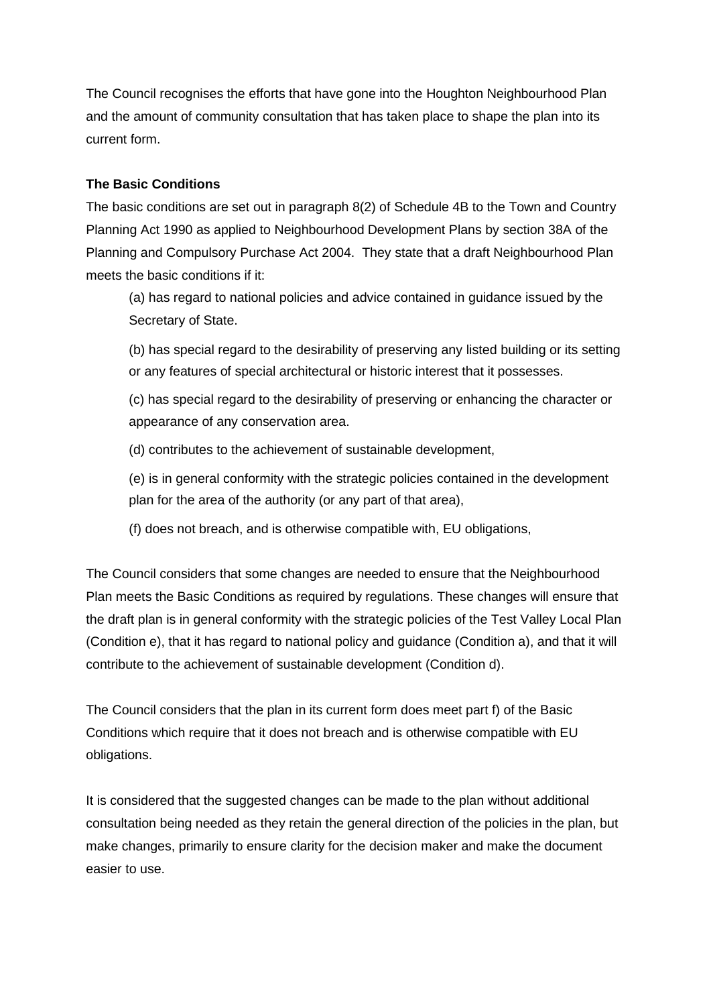The Council recognises the efforts that have gone into the Houghton Neighbourhood Plan and the amount of community consultation that has taken place to shape the plan into its current form.

#### **The Basic Conditions**

The basic conditions are set out in paragraph 8(2) of Schedule 4B to the Town and Country Planning Act 1990 as applied to Neighbourhood Development Plans by section 38A of the Planning and Compulsory Purchase Act 2004. They state that a draft Neighbourhood Plan meets the basic conditions if it:

(a) has regard to national policies and advice contained in guidance issued by the Secretary of State.

(b) has special regard to the desirability of preserving any listed building or its setting or any features of special architectural or historic interest that it possesses.

(c) has special regard to the desirability of preserving or enhancing the character or appearance of any conservation area.

(d) contributes to the achievement of sustainable development,

(e) is in general conformity with the strategic policies contained in the development plan for the area of the authority (or any part of that area),

(f) does not breach, and is otherwise compatible with, EU obligations,

The Council considers that some changes are needed to ensure that the Neighbourhood Plan meets the Basic Conditions as required by regulations. These changes will ensure that the draft plan is in general conformity with the strategic policies of the Test Valley Local Plan (Condition e), that it has regard to national policy and guidance (Condition a), and that it will contribute to the achievement of sustainable development (Condition d).

The Council considers that the plan in its current form does meet part f) of the Basic Conditions which require that it does not breach and is otherwise compatible with EU obligations.

It is considered that the suggested changes can be made to the plan without additional consultation being needed as they retain the general direction of the policies in the plan, but make changes, primarily to ensure clarity for the decision maker and make the document easier to use.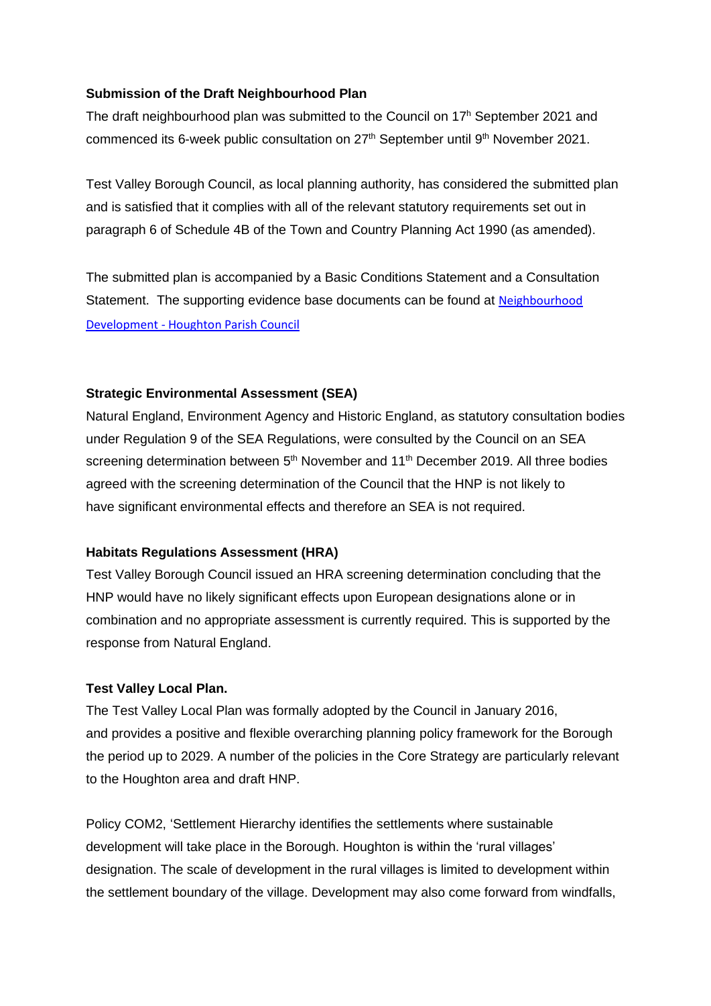#### **Submission of the Draft Neighbourhood Plan**

The draft neighbourhood plan was submitted to the Council on 17<sup>h</sup> September 2021 and commenced its 6-week public consultation on  $27<sup>th</sup>$  September until  $9<sup>th</sup>$  November 2021.

Test Valley Borough Council, as local planning authority, has considered the submitted plan and is satisfied that it complies with all of the relevant statutory requirements set out in paragraph 6 of Schedule 4B of the Town and Country Planning Act 1990 (as amended).

The submitted plan is accompanied by a Basic Conditions Statement and a Consultation Statement. The supporting evidence base documents can be found at Neighbourhood Development - [Houghton Parish Council](https://www.houghtonparishcouncil.org/community/houghton-parish-council-13622/neighbourhood-development/) 

#### **Strategic Environmental Assessment (SEA)**

Natural England, Environment Agency and Historic England, as statutory consultation bodies under Regulation 9 of the SEA Regulations, were consulted by the Council on an SEA screening determination between 5<sup>th</sup> November and 11<sup>th</sup> December 2019. All three bodies agreed with the screening determination of the Council that the HNP is not likely to have significant environmental effects and therefore an SEA is not required.

#### **Habitats Regulations Assessment (HRA)**

Test Valley Borough Council issued an HRA screening determination concluding that the HNP would have no likely significant effects upon European designations alone or in combination and no appropriate assessment is currently required. This is supported by the response from Natural England.

#### **Test Valley Local Plan.**

The Test Valley Local Plan was formally adopted by the Council in January 2016, and provides a positive and flexible overarching planning policy framework for the Borough the period up to 2029. A number of the policies in the Core Strategy are particularly relevant to the Houghton area and draft HNP.

Policy COM2, 'Settlement Hierarchy identifies the settlements where sustainable development will take place in the Borough. Houghton is within the 'rural villages' designation. The scale of development in the rural villages is limited to development within the settlement boundary of the village. Development may also come forward from windfalls,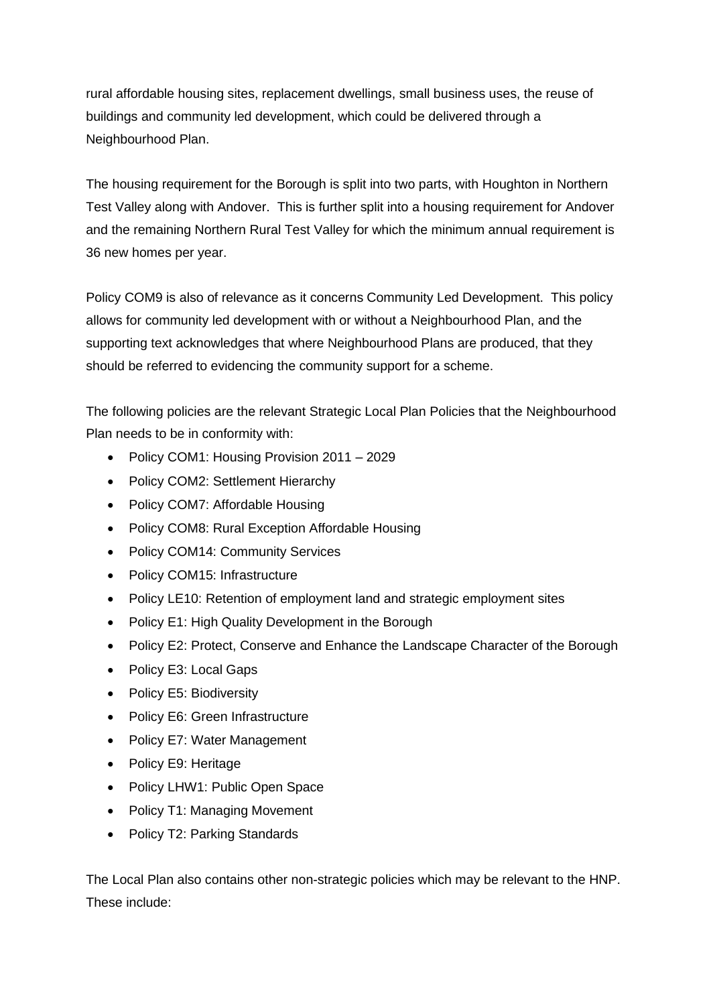rural affordable housing sites, replacement dwellings, small business uses, the reuse of buildings and community led development, which could be delivered through a Neighbourhood Plan.

The housing requirement for the Borough is split into two parts, with Houghton in Northern Test Valley along with Andover. This is further split into a housing requirement for Andover and the remaining Northern Rural Test Valley for which the minimum annual requirement is 36 new homes per year.

Policy COM9 is also of relevance as it concerns Community Led Development. This policy allows for community led development with or without a Neighbourhood Plan, and the supporting text acknowledges that where Neighbourhood Plans are produced, that they should be referred to evidencing the community support for a scheme.

The following policies are the relevant Strategic Local Plan Policies that the Neighbourhood Plan needs to be in conformity with:

- Policy COM1: Housing Provision 2011 2029
- Policy COM2: Settlement Hierarchy
- Policy COM7: Affordable Housing
- Policy COM8: Rural Exception Affordable Housing
- Policy COM14: Community Services
- Policy COM15: Infrastructure
- Policy LE10: Retention of employment land and strategic employment sites
- Policy E1: High Quality Development in the Borough
- Policy E2: Protect, Conserve and Enhance the Landscape Character of the Borough
- Policy E3: Local Gaps
- Policy E5: Biodiversity
- Policy E6: Green Infrastructure
- Policy E7: Water Management
- Policy E9: Heritage
- Policy LHW1: Public Open Space
- Policy T1: Managing Movement
- Policy T2: Parking Standards

The Local Plan also contains other non-strategic policies which may be relevant to the HNP. These include: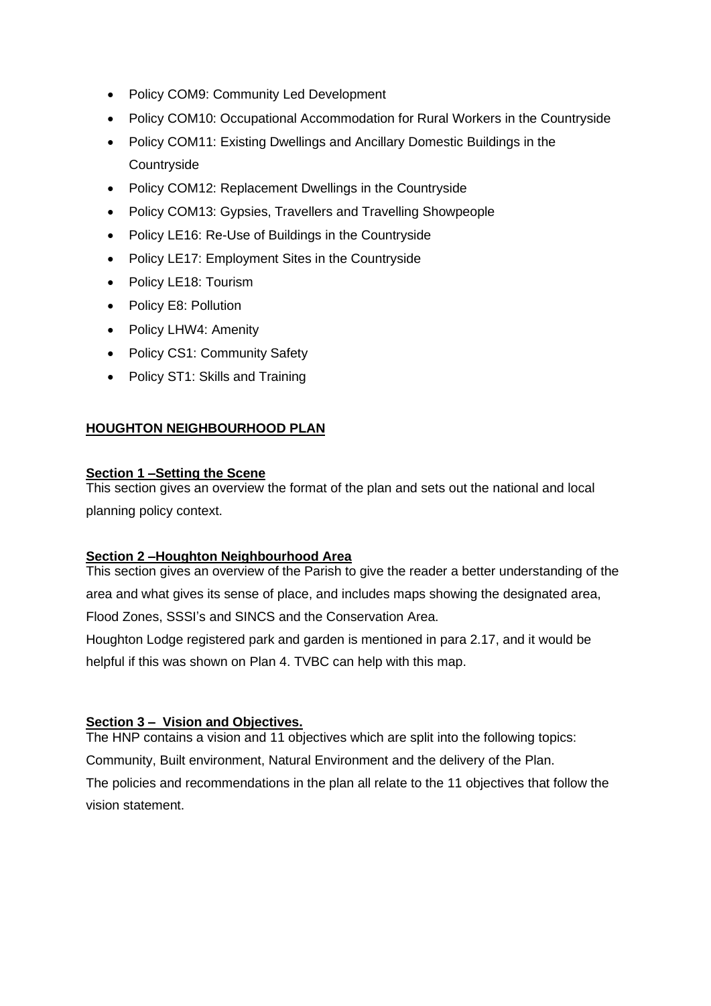- Policy COM9: Community Led Development
- Policy COM10: Occupational Accommodation for Rural Workers in the Countryside
- Policy COM11: Existing Dwellings and Ancillary Domestic Buildings in the **Countryside**
- Policy COM12: Replacement Dwellings in the Countryside
- Policy COM13: Gypsies, Travellers and Travelling Showpeople
- Policy LE16: Re-Use of Buildings in the Countryside
- Policy LE17: Employment Sites in the Countryside
- Policy LE18: Tourism
- Policy E8: Pollution
- Policy LHW4: Amenity
- Policy CS1: Community Safety
- Policy ST1: Skills and Training

## **HOUGHTON NEIGHBOURHOOD PLAN**

#### **Section 1 –Setting the Scene**

This section gives an overview the format of the plan and sets out the national and local planning policy context.

#### **Section 2 –Houghton Neighbourhood Area**

This section gives an overview of the Parish to give the reader a better understanding of the area and what gives its sense of place, and includes maps showing the designated area, Flood Zones, SSSI's and SINCS and the Conservation Area.

Houghton Lodge registered park and garden is mentioned in para 2.17, and it would be helpful if this was shown on Plan 4. TVBC can help with this map.

#### **Section 3 – Vision and Objectives.**

The HNP contains a vision and 11 objectives which are split into the following topics:

Community, Built environment, Natural Environment and the delivery of the Plan. The policies and recommendations in the plan all relate to the 11 objectives that follow the vision statement.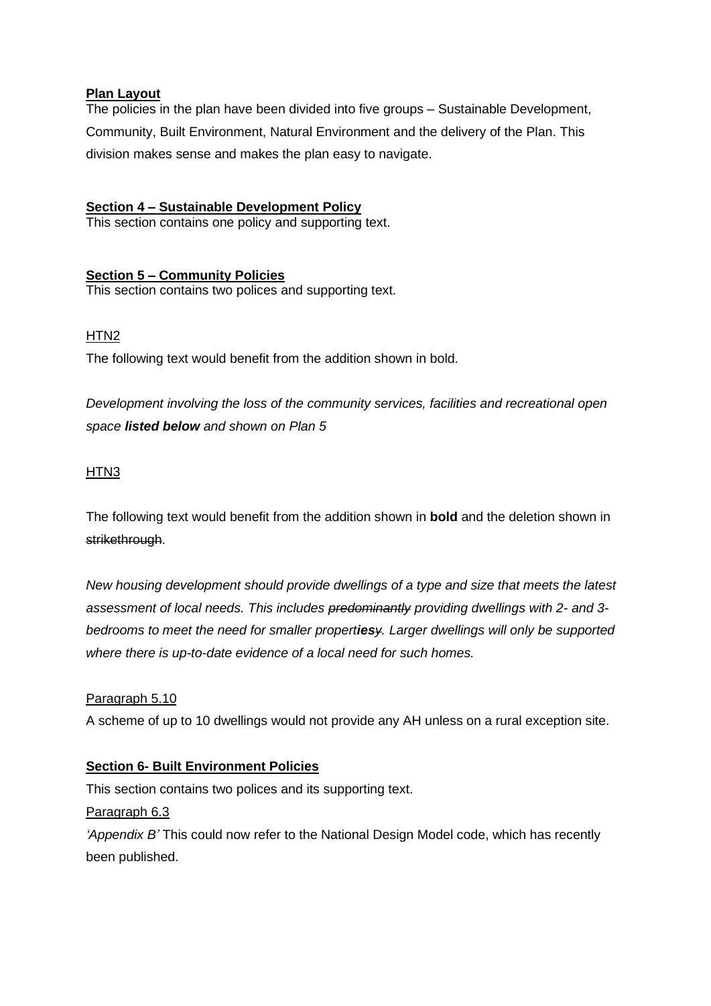#### **Plan Layout**

The policies in the plan have been divided into five groups – Sustainable Development, Community, Built Environment, Natural Environment and the delivery of the Plan. This division makes sense and makes the plan easy to navigate.

# **Section 4 – Sustainable Development Policy**

This section contains one policy and supporting text.

## **Section 5 – Community Policies**

This section contains two polices and supporting text.

#### HTN2

The following text would benefit from the addition shown in bold.

*Development involving the loss of the community services, facilities and recreational open space listed below and shown on Plan 5*

#### HTN3

The following text would benefit from the addition shown in **bold** and the deletion shown in strikethrough.

*New housing development should provide dwellings of a type and size that meets the latest assessment of local needs. This includes predominantly providing dwellings with 2- and 3 bedrooms to meet the need for smaller propertiesy. Larger dwellings will only be supported where there is up-to-date evidence of a local need for such homes.*

#### Paragraph 5.10

A scheme of up to 10 dwellings would not provide any AH unless on a rural exception site.

#### **Section 6- Built Environment Policies**

This section contains two polices and its supporting text.

Paragraph 6.3

*'Appendix B'* This could now refer to the National Design Model code, which has recently been published.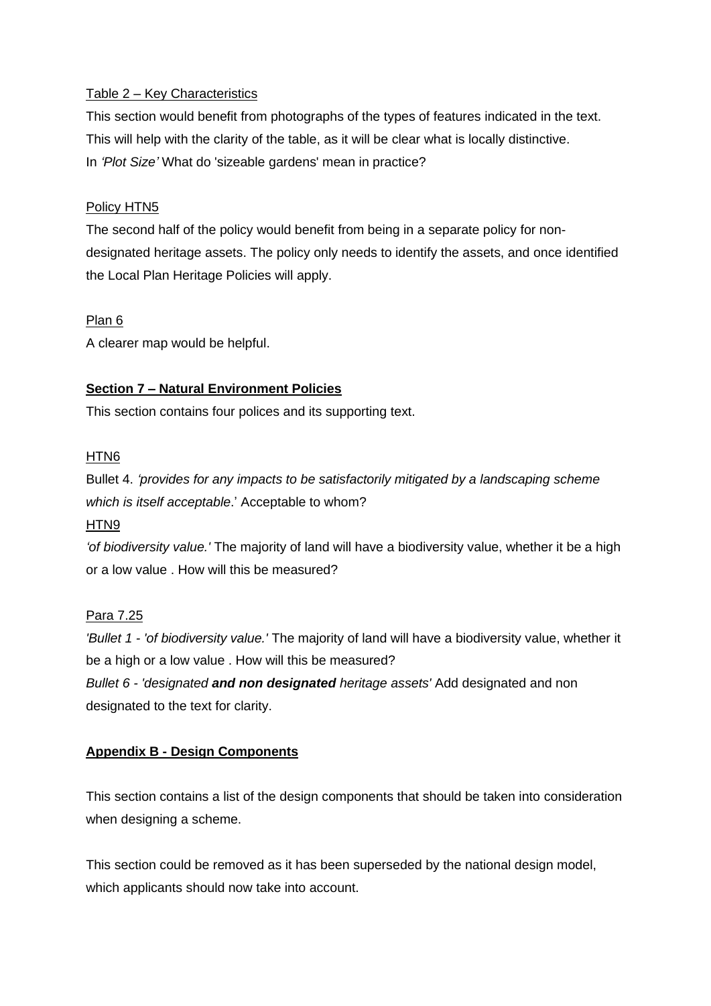#### Table 2 – Key Characteristics

This section would benefit from photographs of the types of features indicated in the text. This will help with the clarity of the table, as it will be clear what is locally distinctive. In *'Plot Size'* What do 'sizeable gardens' mean in practice?

#### Policy HTN5

The second half of the policy would benefit from being in a separate policy for nondesignated heritage assets. The policy only needs to identify the assets, and once identified the Local Plan Heritage Policies will apply.

#### Plan 6

A clearer map would be helpful.

#### **Section 7 – Natural Environment Policies**

This section contains four polices and its supporting text.

#### HTN6

Bullet 4. *'provides for any impacts to be satisfactorily mitigated by a landscaping scheme which is itself acceptable*.' Acceptable to whom?

# HTN9

*'of biodiversity value.'* The majority of land will have a biodiversity value, whether it be a high or a low value . How will this be measured?

#### Para 7.25

*'Bullet 1 - 'of biodiversity value.'* The majority of land will have a biodiversity value, whether it be a high or a low value . How will this be measured? *Bullet 6 - 'designated and non designated heritage assets'* Add designated and non designated to the text for clarity.

#### **Appendix B - Design Components**

This section contains a list of the design components that should be taken into consideration when designing a scheme.

This section could be removed as it has been superseded by the national design model, which applicants should now take into account.